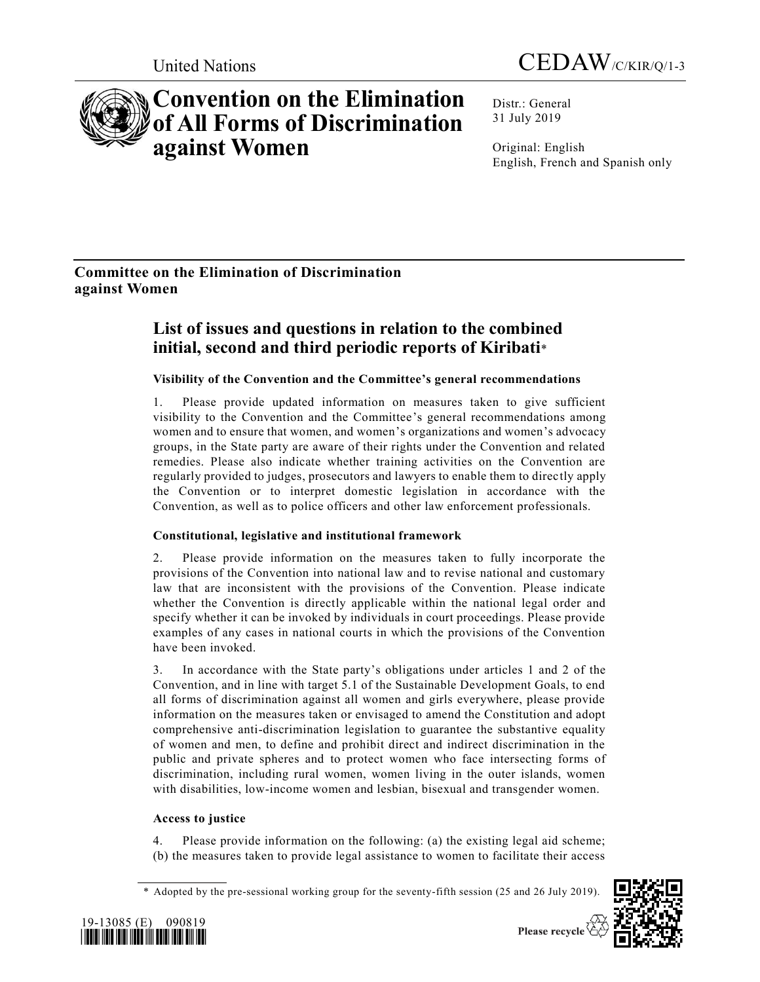



# **Convention on the Elimination of All Forms of Discrimination against Women**

Distr.: General 31 July 2019

Original: English English, French and Spanish only

# **Committee on the Elimination of Discrimination against Women**

# **List of issues and questions in relation to the combined initial, second and third periodic reports of Kiribati**\*

# **Visibility of the Convention and the Committee's general recommendations**

1. Please provide updated information on measures taken to give sufficient visibility to the Convention and the Committee's general recommendations among women and to ensure that women, and women's organizations and women's advocacy groups, in the State party are aware of their rights under the Convention and related remedies. Please also indicate whether training activities on the Convention are regularly provided to judges, prosecutors and lawyers to enable them to directly apply the Convention or to interpret domestic legislation in accordance with the Convention, as well as to police officers and other law enforcement professionals.

# **Constitutional, legislative and institutional framework**

2. Please provide information on the measures taken to fully incorporate the provisions of the Convention into national law and to revise national and customary law that are inconsistent with the provisions of the Convention. Please indicate whether the Convention is directly applicable within the national legal order and specify whether it can be invoked by individuals in court proceedings. Please provide examples of any cases in national courts in which the provisions of the Convention have been invoked.

3. In accordance with the State party's obligations under articles 1 and 2 of the Convention, and in line with target 5.1 of the Sustainable Development Goals, to end all forms of discrimination against all women and girls everywhere, please provide information on the measures taken or envisaged to amend the Constitution and adopt comprehensive anti-discrimination legislation to guarantee the substantive equality of women and men, to define and prohibit direct and indirect discrimination in the public and private spheres and to protect women who face intersecting forms of discrimination, including rural women, women living in the outer islands, women with disabilities, low-income women and lesbian, bisexual and transgender women.

# **Access to justice**

Please provide information on the following: (a) the existing legal aid scheme; (b) the measures taken to provide legal assistance to women to facilitate their access

<sup>\*</sup> Adopted by the pre-sessional working group for the seventy-fifth session (25 and 26 July 2019).





Please recycle  $\overleftrightarrow{C}$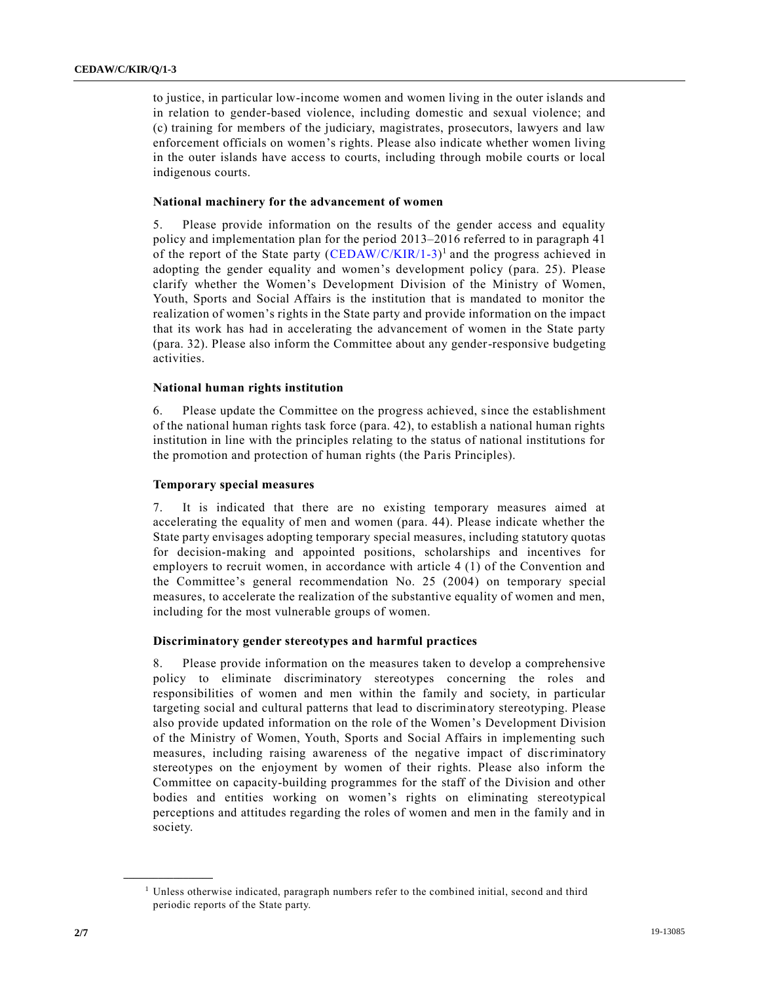to justice, in particular low-income women and women living in the outer islands and in relation to gender-based violence, including domestic and sexual violence; and (c) training for members of the judiciary, magistrates, prosecutors, lawyers and law enforcement officials on women's rights. Please also indicate whether women living in the outer islands have access to courts, including through mobile courts or local indigenous courts.

### **National machinery for the advancement of women**

5. Please provide information on the results of the gender access and equality policy and implementation plan for the period 2013–2016 referred to in paragraph 41 of the report of the State party  $(CEDAW/C/KIR/1-3)^1$  $(CEDAW/C/KIR/1-3)^1$  and the progress achieved in adopting the gender equality and women's development policy (para. 25). Please clarify whether the Women's Development Division of the Ministry of Women, Youth, Sports and Social Affairs is the institution that is mandated to monitor the realization of women's rights in the State party and provide information on the impact that its work has had in accelerating the advancement of women in the State party (para. 32). Please also inform the Committee about any gender-responsive budgeting activities.

# **National human rights institution**

6. Please update the Committee on the progress achieved, since the establishment of the national human rights task force (para. 42), to establish a national human rights institution in line with the principles relating to the status of national institutions for the promotion and protection of human rights (the Paris Principles).

### **Temporary special measures**

7. It is indicated that there are no existing temporary measures aimed at accelerating the equality of men and women (para. 44). Please indicate whether the State party envisages adopting temporary special measures, including statutory quotas for decision-making and appointed positions, scholarships and incentives for employers to recruit women, in accordance with article 4 (1) of the Convention and the Committee's general recommendation No. 25 (2004) on temporary special measures, to accelerate the realization of the substantive equality of women and men, including for the most vulnerable groups of women.

#### **Discriminatory gender stereotypes and harmful practices**

8. Please provide information on the measures taken to develop a comprehensive policy to eliminate discriminatory stereotypes concerning the roles and responsibilities of women and men within the family and society, in particular targeting social and cultural patterns that lead to discriminatory stereotyping. Please also provide updated information on the role of the Women's Development Division of the Ministry of Women, Youth, Sports and Social Affairs in implementing such measures, including raising awareness of the negative impact of discriminatory stereotypes on the enjoyment by women of their rights. Please also inform the Committee on capacity-building programmes for the staff of the Division and other bodies and entities working on women's rights on eliminating stereotypical perceptions and attitudes regarding the roles of women and men in the family and in society.

**\_\_\_\_\_\_\_\_\_\_\_\_\_\_\_\_\_\_**

<sup>&</sup>lt;sup>1</sup> Unless otherwise indicated, paragraph numbers refer to the combined initial, second and third periodic reports of the State party.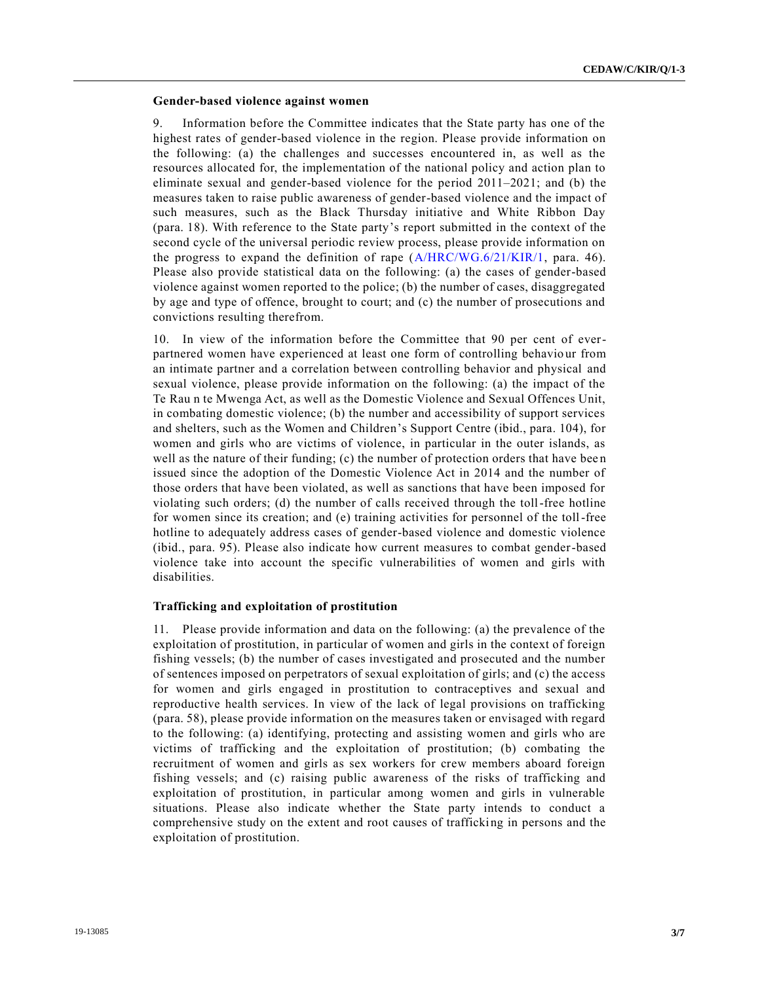#### **Gender-based violence against women**

9. Information before the Committee indicates that the State party has one of the highest rates of gender-based violence in the region. Please provide information on the following: (a) the challenges and successes encountered in, as well as the resources allocated for, the implementation of the national policy and action plan to eliminate sexual and gender-based violence for the period 2011–2021; and (b) the measures taken to raise public awareness of gender-based violence and the impact of such measures, such as the Black Thursday initiative and White Ribbon Day (para. 18). With reference to the State party's report submitted in the context of the second cycle of the universal periodic review process, please provide information on the progress to expand the definition of rape [\(A/HRC/WG.6/21/KIR/1,](https://undocs.org/en/A/HRC/WG.6/21/KIR/1) para. 46). Please also provide statistical data on the following: (a) the cases of gender-based violence against women reported to the police; (b) the number of cases, disaggregated by age and type of offence, brought to court; and (c) the number of prosecutions and convictions resulting therefrom.

10. In view of the information before the Committee that 90 per cent of everpartnered women have experienced at least one form of controlling behavio ur from an intimate partner and a correlation between controlling behavior and physical and sexual violence, please provide information on the following: (a) the impact of the Te Rau n te Mwenga Act, as well as the Domestic Violence and Sexual Offences Unit, in combating domestic violence; (b) the number and accessibility of support services and shelters, such as the Women and Children's Support Centre (ibid., para. 104), for women and girls who are victims of violence, in particular in the outer islands, as well as the nature of their funding; (c) the number of protection orders that have bee n issued since the adoption of the Domestic Violence Act in 2014 and the number of those orders that have been violated, as well as sanctions that have been imposed for violating such orders; (d) the number of calls received through the toll-free hotline for women since its creation; and (e) training activities for personnel of the toll-free hotline to adequately address cases of gender-based violence and domestic violence (ibid., para. 95). Please also indicate how current measures to combat gender-based violence take into account the specific vulnerabilities of women and girls with disabilities.

#### **Trafficking and exploitation of prostitution**

11. Please provide information and data on the following: (a) the prevalence of the exploitation of prostitution, in particular of women and girls in the context of foreign fishing vessels; (b) the number of cases investigated and prosecuted and the number of sentences imposed on perpetrators of sexual exploitation of girls; and (c) the access for women and girls engaged in prostitution to contraceptives and sexual and reproductive health services. In view of the lack of legal provisions on trafficking (para. 58), please provide information on the measures taken or envisaged with regard to the following: (a) identifying, protecting and assisting women and girls who are victims of trafficking and the exploitation of prostitution; (b) combating the recruitment of women and girls as sex workers for crew members aboard foreign fishing vessels; and (c) raising public awareness of the risks of trafficking and exploitation of prostitution, in particular among women and girls in vulnerable situations. Please also indicate whether the State party intends to conduct a comprehensive study on the extent and root causes of trafficking in persons and the exploitation of prostitution.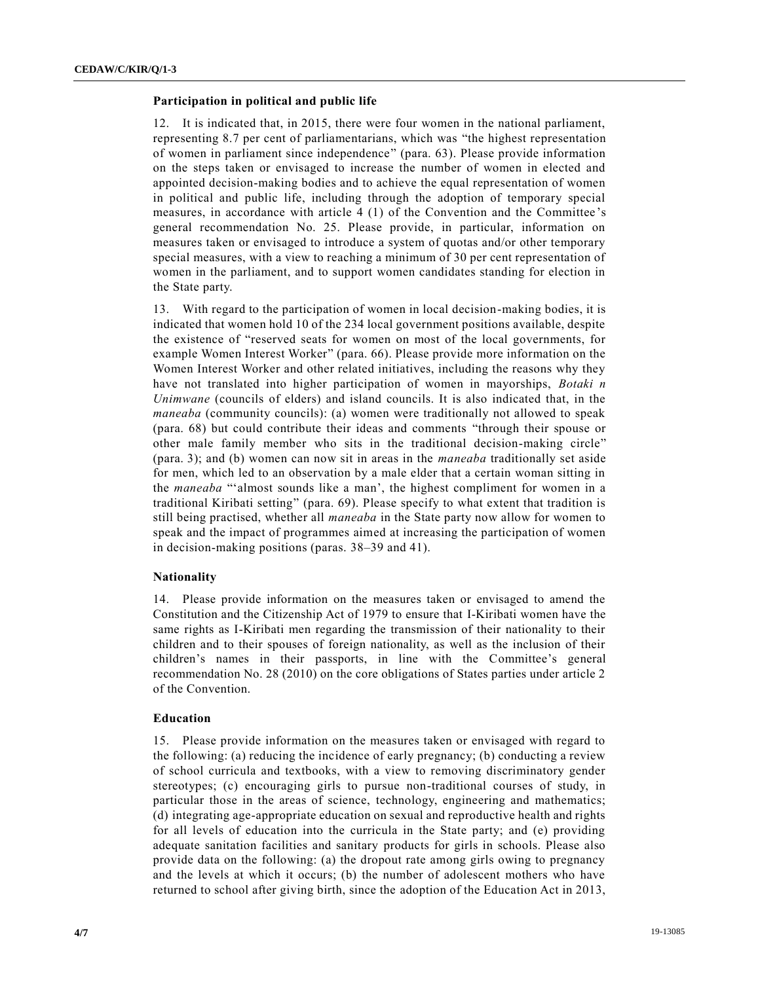#### **Participation in political and public life**

12. It is indicated that, in 2015, there were four women in the national parliament, representing 8.7 per cent of parliamentarians, which was "the highest representation of women in parliament since independence" (para. 63). Please provide information on the steps taken or envisaged to increase the number of women in elected and appointed decision-making bodies and to achieve the equal representation of women in political and public life, including through the adoption of temporary special measures, in accordance with article 4 (1) of the Convention and the Committee 's general recommendation No. 25. Please provide, in particular, information on measures taken or envisaged to introduce a system of quotas and/or other temporary special measures, with a view to reaching a minimum of 30 per cent representation of women in the parliament, and to support women candidates standing for election in the State party.

13. With regard to the participation of women in local decision-making bodies, it is indicated that women hold 10 of the 234 local government positions available, despite the existence of "reserved seats for women on most of the local governments, for example Women Interest Worker" (para. 66). Please provide more information on the Women Interest Worker and other related initiatives, including the reasons why they have not translated into higher participation of women in mayorships, *Botaki n Unimwane* (councils of elders) and island councils. It is also indicated that, in the *maneaba* (community councils): (a) women were traditionally not allowed to speak (para. 68) but could contribute their ideas and comments "through their spouse or other male family member who sits in the traditional decision-making circle" (para. 3); and (b) women can now sit in areas in the *maneaba* traditionally set aside for men, which led to an observation by a male elder that a certain woman sitting in the *maneaba* "'almost sounds like a man', the highest compliment for women in a traditional Kiribati setting" (para. 69). Please specify to what extent that tradition is still being practised, whether all *maneaba* in the State party now allow for women to speak and the impact of programmes aimed at increasing the participation of women in decision-making positions (paras. 38–39 and 41).

# **Nationality**

14. Please provide information on the measures taken or envisaged to amend the Constitution and the Citizenship Act of 1979 to ensure that I-Kiribati women have the same rights as I-Kiribati men regarding the transmission of their nationality to their children and to their spouses of foreign nationality, as well as the inclusion of their children's names in their passports, in line with the Committee's general recommendation No. 28 (2010) on the core obligations of States parties under article 2 of the Convention.

#### **Education**

15. Please provide information on the measures taken or envisaged with regard to the following: (a) reducing the incidence of early pregnancy; (b) conducting a review of school curricula and textbooks, with a view to removing discriminatory gender stereotypes; (c) encouraging girls to pursue non-traditional courses of study, in particular those in the areas of science, technology, engineering and mathematics; (d) integrating age-appropriate education on sexual and reproductive health and rights for all levels of education into the curricula in the State party; and (e) providing adequate sanitation facilities and sanitary products for girls in schools. Please also provide data on the following: (a) the dropout rate among girls owing to pregnancy and the levels at which it occurs; (b) the number of adolescent mothers who have returned to school after giving birth, since the adoption of the Education Act in 2013,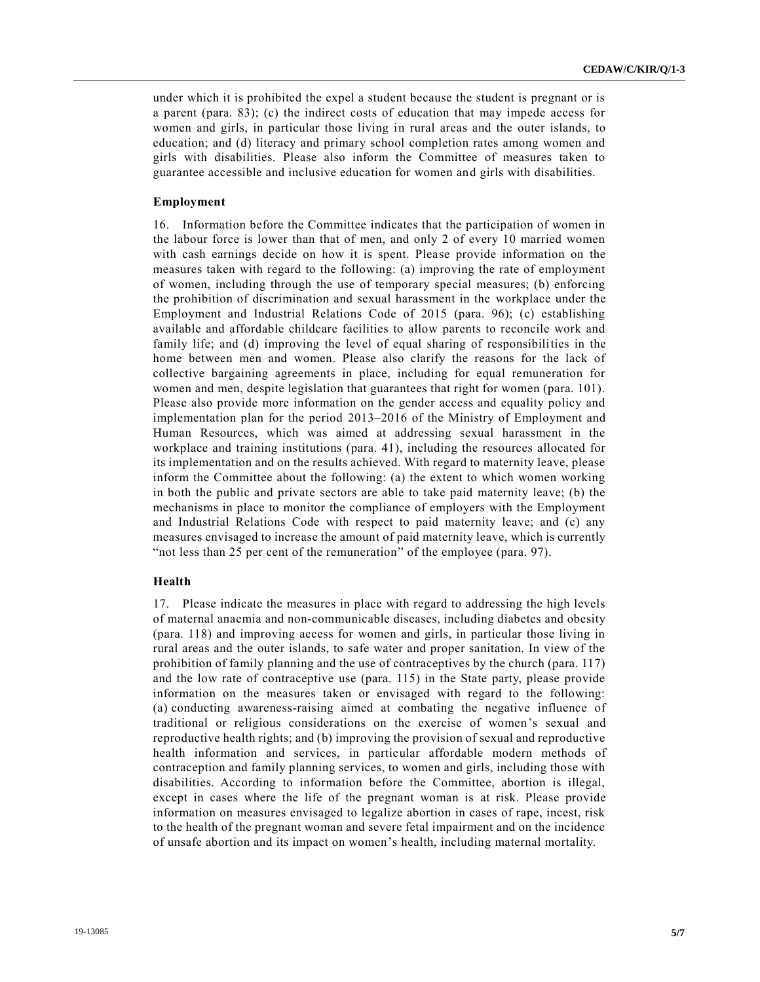under which it is prohibited the expel a student because the student is pregnant or is a parent (para. 83); (c) the indirect costs of education that may impede access for women and girls, in particular those living in rural areas and the outer islands, to education; and (d) literacy and primary school completion rates among women and girls with disabilities. Please also inform the Committee of measures taken to guarantee accessible and inclusive education for women and girls with disabilities.

#### **Employment**

16. Information before the Committee indicates that the participation of women in the labour force is lower than that of men, and only 2 of every 10 married women with cash earnings decide on how it is spent. Please provide information on the measures taken with regard to the following: (a) improving the rate of employment of women, including through the use of temporary special measures; (b) enforcing the prohibition of discrimination and sexual harassment in the workplace under the Employment and Industrial Relations Code of 2015 (para. 96); (c) establishing available and affordable childcare facilities to allow parents to reconcile work and family life; and (d) improving the level of equal sharing of responsibilities in the home between men and women. Please also clarify the reasons for the lack of collective bargaining agreements in place, including for equal remuneration for women and men, despite legislation that guarantees that right for women (para. 101). Please also provide more information on the gender access and equality policy and implementation plan for the period 2013–2016 of the Ministry of Employment and Human Resources, which was aimed at addressing sexual harassment in the workplace and training institutions (para. 41), including the resources allocated for its implementation and on the results achieved. With regard to maternity leave, please inform the Committee about the following: (a) the extent to which women working in both the public and private sectors are able to take paid maternity leave; (b) the mechanisms in place to monitor the compliance of employers with the Employment and Industrial Relations Code with respect to paid maternity leave; and (c) any measures envisaged to increase the amount of paid maternity leave, which is currently "not less than 25 per cent of the remuneration" of the employee (para. 97).

#### **Health**

17. Please indicate the measures in place with regard to addressing the high levels of maternal anaemia and non-communicable diseases, including diabetes and obesity (para. 118) and improving access for women and girls, in particular those living in rural areas and the outer islands, to safe water and proper sanitation. In view of the prohibition of family planning and the use of contraceptives by the church (para. 117) and the low rate of contraceptive use (para. 115) in the State party, please provide information on the measures taken or envisaged with regard to the following: (a) conducting awareness-raising aimed at combating the negative influence of traditional or religious considerations on the exercise of women's sexual and reproductive health rights; and (b) improving the provision of sexual and reproductive health information and services, in particular affordable modern methods of contraception and family planning services, to women and girls, including those with disabilities. According to information before the Committee, abortion is illegal, except in cases where the life of the pregnant woman is at risk. Please provide information on measures envisaged to legalize abortion in cases of rape, incest, risk to the health of the pregnant woman and severe fetal impairment and on the incidence of unsafe abortion and its impact on women's health, including maternal mortality.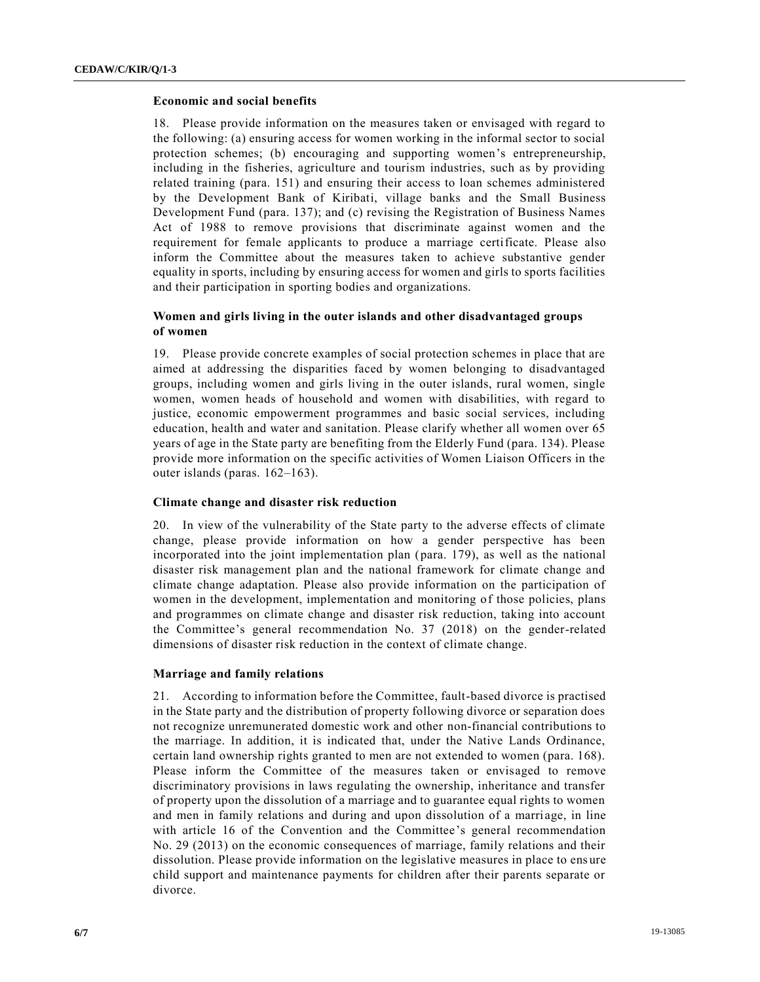#### **Economic and social benefits**

18. Please provide information on the measures taken or envisaged with regard to the following: (a) ensuring access for women working in the informal sector to social protection schemes; (b) encouraging and supporting women's entrepreneurship, including in the fisheries, agriculture and tourism industries, such as by providing related training (para. 151) and ensuring their access to loan schemes administered by the Development Bank of Kiribati, village banks and the Small Business Development Fund (para. 137); and (c) revising the Registration of Business Names Act of 1988 to remove provisions that discriminate against women and the requirement for female applicants to produce a marriage certificate. Please also inform the Committee about the measures taken to achieve substantive gender equality in sports, including by ensuring access for women and girls to sports facilities and their participation in sporting bodies and organizations.

# **Women and girls living in the outer islands and other disadvantaged groups of women**

19. Please provide concrete examples of social protection schemes in place that are aimed at addressing the disparities faced by women belonging to disadvantaged groups, including women and girls living in the outer islands, rural women, single women, women heads of household and women with disabilities, with regard to justice, economic empowerment programmes and basic social services, including education, health and water and sanitation. Please clarify whether all women over 65 years of age in the State party are benefiting from the Elderly Fund (para. 134). Please provide more information on the specific activities of Women Liaison Officers in the outer islands (paras. 162–163).

#### **Climate change and disaster risk reduction**

20. In view of the vulnerability of the State party to the adverse effects of climate change, please provide information on how a gender perspective has been incorporated into the joint implementation plan (para. 179), as well as the national disaster risk management plan and the national framework for climate change and climate change adaptation. Please also provide information on the participation of women in the development, implementation and monitoring of those policies, plans and programmes on climate change and disaster risk reduction, taking into account the Committee's general recommendation No. 37 (2018) on the gender-related dimensions of disaster risk reduction in the context of climate change.

#### **Marriage and family relations**

21. According to information before the Committee, fault-based divorce is practised in the State party and the distribution of property following divorce or separation does not recognize unremunerated domestic work and other non-financial contributions to the marriage. In addition, it is indicated that, under the Native Lands Ordinance, certain land ownership rights granted to men are not extended to women (para. 168). Please inform the Committee of the measures taken or envisaged to remove discriminatory provisions in laws regulating the ownership, inheritance and transfer of property upon the dissolution of a marriage and to guarantee equal rights to women and men in family relations and during and upon dissolution of a marriage, in line with article 16 of the Convention and the Committee's general recommendation No. 29 (2013) on the economic consequences of marriage, family relations and their dissolution. Please provide information on the legislative measures in place to ens ure child support and maintenance payments for children after their parents separate or divorce.